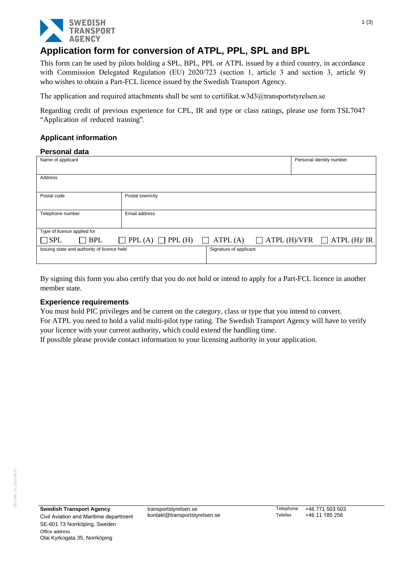

# **Application form for conversion of ATPL, PPL, SPL and BPL**

This form can be used by pilots holding a SPL, BPL, PPL or ATPL issued by a third country, in accordance with Commission Delegated Regulation (EU) 2020/723 (section 1, article 3 and section 3, article 9) who wishes to obtain a Part-FCL licence issued by the Swedish Transport Agency.

The application and required attachments shall be sent t[o certifikat.w3d3@transportstyrelsen.se](mailto:certifikat.w3d3@transportstyrelsen.se)

Regarding credit of previous experience for CPL, IR and type or class ratings, please use form TSL7047 "Application of reduced training".

## **Applicant information**

#### **Personal data**

| Name of applicant                           |                               |                        |                     | Personal identity number |  |  |  |  |
|---------------------------------------------|-------------------------------|------------------------|---------------------|--------------------------|--|--|--|--|
|                                             |                               |                        |                     |                          |  |  |  |  |
| Address                                     |                               |                        |                     |                          |  |  |  |  |
|                                             |                               |                        |                     |                          |  |  |  |  |
| Postal code                                 | Postal town/city              |                        |                     |                          |  |  |  |  |
|                                             |                               |                        |                     |                          |  |  |  |  |
| Telephone number                            | Email address                 |                        |                     |                          |  |  |  |  |
|                                             |                               |                        |                     |                          |  |  |  |  |
| Type of licence applied for                 |                               |                        |                     |                          |  |  |  |  |
| <b>BPL</b><br>$\square$ SPL                 | $\Box$ PPL (A) $\Box$ PPL (H) | ATPL(A)<br>$\perp$     | $\Box$ ATPL (H)/VFR | $\Box$ ATPL (H)/ IR      |  |  |  |  |
| Issuing state and authority of licence held |                               | Signature of applicant |                     |                          |  |  |  |  |
|                                             |                               |                        |                     |                          |  |  |  |  |
|                                             |                               |                        |                     |                          |  |  |  |  |

By signing this form you also certify that you do not hold or intend to apply for a Part-FCL licence in another member state.

#### **Experience requirements**

You must hold PIC privileges and be current on the category, class or type that you intend to convert.

For ATPL you need to hold a valid multi-pilot type rating. The Swedish Transport Agency will have to verify your licence with your current authority, which could extend the handling time.

If possible please provide contact information to your licensing authority in your application.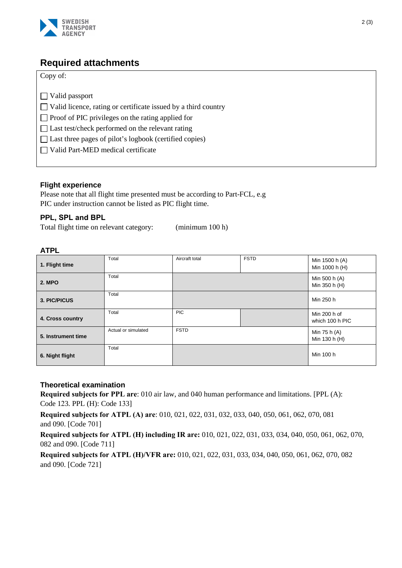

# **Required attachments**

| Copy of: |  |
|----------|--|
|----------|--|

|  | $\Box$ Valid passport |  |  |                                                                       |  |  |
|--|-----------------------|--|--|-----------------------------------------------------------------------|--|--|
|  |                       |  |  | $\Box$ Valid licence, rating or certificate issued by a third country |  |  |
|  |                       |  |  |                                                                       |  |  |

 $\Box$  Proof of PIC privileges on the rating applied for

□ Last test/check performed on the relevant rating

□ Last three pages of pilot's logbook (certified copies)

Valid Part-MED medical certificate

# **Flight experience**

Please note that all flight time presented must be according to Part-FCL, e.g PIC under instruction cannot be listed as PIC flight time.

# **PPL, SPL and BPL**

Total flight time on relevant category: (minimum 100 h)

## **ATPL**

| 1. Flight time     | Total               | Aircraft total | <b>FSTD</b> | Min 1500 h (A)<br>Min 1000 h (H) |
|--------------------|---------------------|----------------|-------------|----------------------------------|
| <b>2. MPO</b>      | Total               |                |             | Min 500 h (A)<br>Min 350 h (H)   |
| 3. PIC/PICUS       | Total               |                |             | Min 250 h                        |
| 4. Cross country   | Total               | <b>PIC</b>     |             | Min 200 h of<br>which 100 h PIC  |
| 5. Instrument time | Actual or simulated | <b>FSTD</b>    |             | Min 75 h (A)<br>Min 130 h (H)    |
| 6. Night flight    | Total               |                |             | Min 100 h                        |

## **Theoretical examination**

**Required subjects for PPL are**: 010 air law, and 040 human performance and limitations. [PPL (A): Code 123. PPL (H): Code 133]

**Required subjects for ATPL (A) are**: 010, 021, 022, 031, 032, 033, 040, 050, 061, 062, 070, 081 and 090. [Code 701]

**Required subjects for ATPL (H) including IR are:** 010, 021, 022, 031, 033, 034, 040, 050, 061, 062, 070, 082 and 090. [Code 711]

**Required subjects for ATPL (H)/VFR are:** 010, 021, 022, 031, 033, 034, 040, 050, 061, 062, 070, 082 and 090. [Code 721]